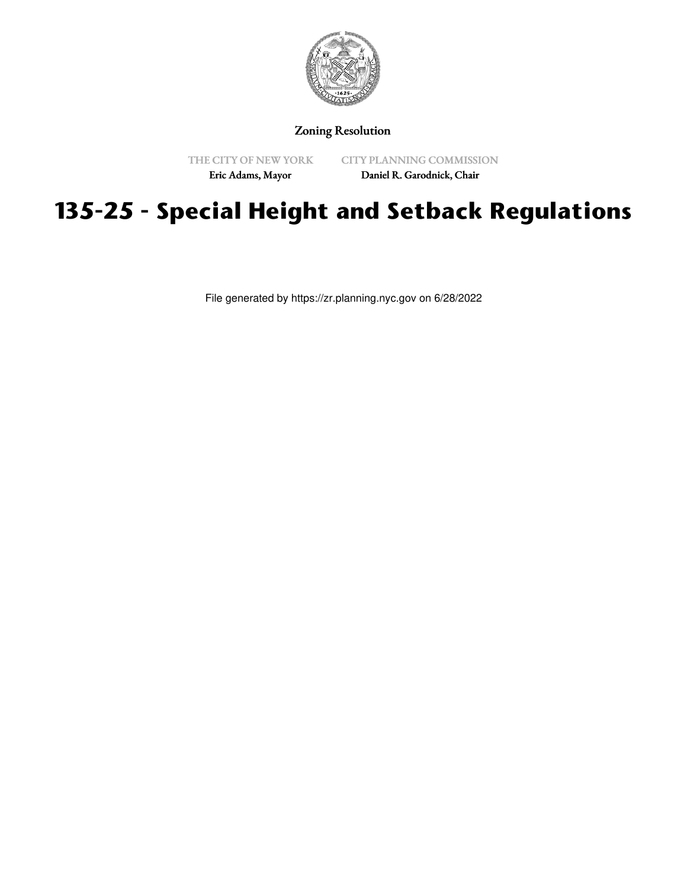

Zoning Resolution

THE CITY OF NEW YORK

CITY PLANNING COMMISSION

Eric Adams, Mayor

Daniel R. Garodnick, Chair

# **135-25 - Special Height and Setback Regulations**

File generated by https://zr.planning.nyc.gov on 6/28/2022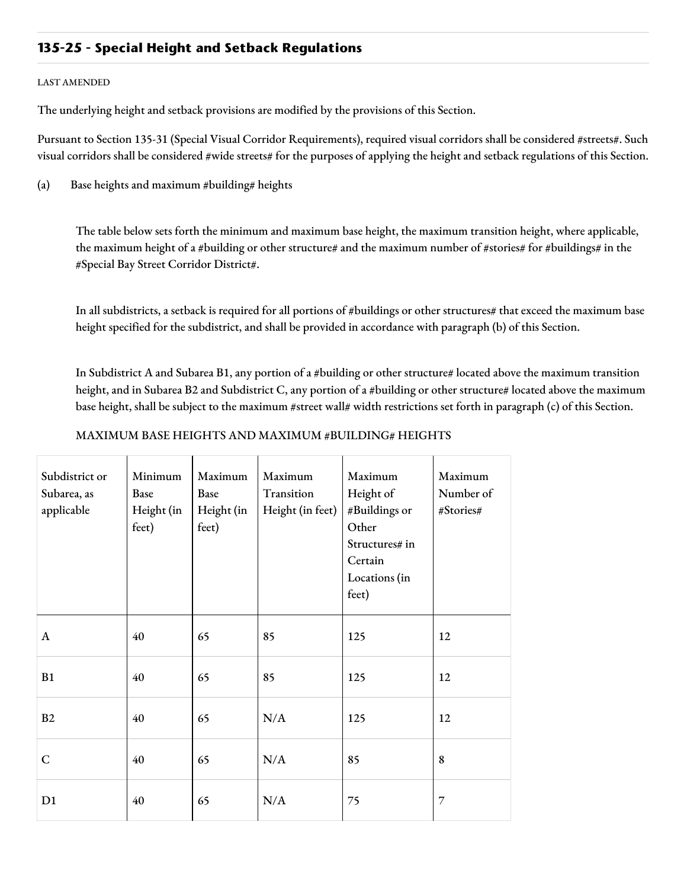# **135-25 - Special Height and Setback Regulations**

#### LAST AMENDED

The underlying height and setback provisions are modified by the provisions of this Section.

Pursuant to Section 135-31 (Special Visual Corridor Requirements), required visual corridors shall be considered #streets#. Such visual corridors shall be considered #wide streets# for the purposes of applying the height and setback regulations of this Section.

(a) Base heights and maximum #building# heights

The table below sets forth the minimum and maximum base height, the maximum transition height, where applicable, the maximum height of a #building or other structure# and the maximum number of #stories# for #buildings# in the #Special Bay Street Corridor District#.

In all subdistricts, a setback is required for all portions of #buildings or other structures# that exceed the maximum base height specified for the subdistrict, and shall be provided in accordance with paragraph (b) of this Section.

In Subdistrict A and Subarea B1, any portion of a #building or other structure# located above the maximum transition height, and in Subarea B2 and Subdistrict C, any portion of a #building or other structure# located above the maximum base height, shall be subject to the maximum #street wall# width restrictions set forth in paragraph (c) of this Section.

## MAXIMUM BASE HEIGHTS AND MAXIMUM #BUILDING# HEIGHTS

| Subdistrict or<br>Subarea, as<br>applicable | Minimum<br>Base<br>Height (in<br>feet) | Maximum<br>Base<br>Height (in<br>feet) | Maximum<br>Transition<br>Height (in feet) | Maximum<br>Height of<br>#Buildings or<br>Other<br>Structures# in<br>Certain<br>Locations (in<br>feet) | Maximum<br>Number of<br>#Stories# |
|---------------------------------------------|----------------------------------------|----------------------------------------|-------------------------------------------|-------------------------------------------------------------------------------------------------------|-----------------------------------|
| A                                           | 40                                     | 65                                     | 85                                        | 125                                                                                                   | 12                                |
| B1                                          | 40                                     | 65                                     | 85                                        | 125                                                                                                   | 12                                |
| B2                                          | 40                                     | 65                                     | N/A                                       | 125                                                                                                   | 12                                |
| $\mathsf{C}$                                | 40                                     | 65                                     | N/A                                       | 85                                                                                                    | $\bf 8$                           |
| D <sub>1</sub>                              | 40                                     | 65                                     | N/A                                       | 75                                                                                                    | 7                                 |